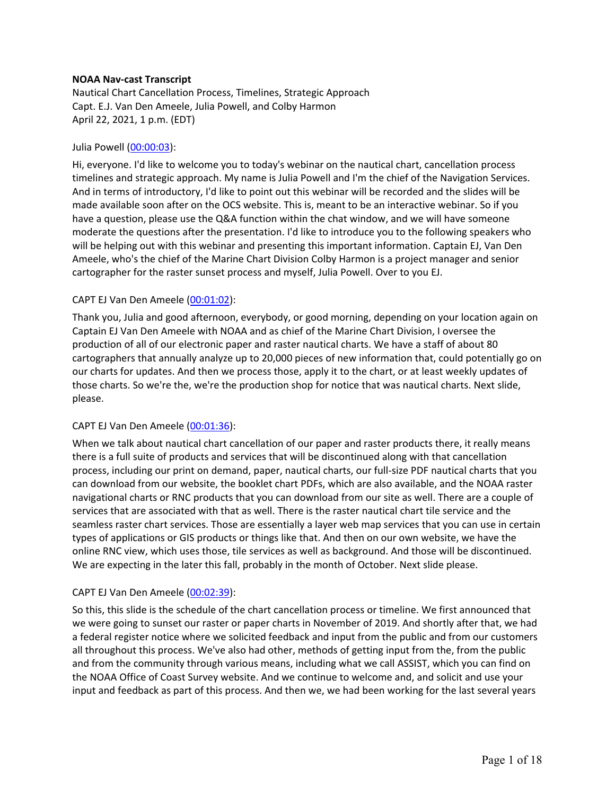### **NOAA Nav-cast Transcript**

Nautical Chart Cancellation Process, Timelines, Strategic Approach Capt. E.J. Van Den Ameele, Julia Powell, and Colby Harmon April 22, 2021, 1 p.m. (EDT)

### Julia Powell (00:00:03):

Hi, everyone. I'd like to welcome you to today's webinar on the nautical chart, cancellation process timelines and strategic approach. My name is Julia Powell and I'm the chief of the Navigation Services. And in terms of introductory, I'd like to point out this webinar will be recorded and the slides will be made available soon after on the OCS website. This is, meant to be an interactive webinar. So if you have a question, please use the Q&A function within the chat window, and we will have someone moderate the questions after the presentation. I'd like to introduce you to the following speakers who will be helping out with this webinar and presenting this important information. Captain EJ, Van Den Ameele, who's the chief of the Marine Chart Division Colby Harmon is a project manager and senior cartographer for the raster sunset process and myself, Julia Powell. Over to you EJ.

### CAPT EJ Van Den Ameele (00:01:02):

Thank you, Julia and good afternoon, everybody, or good morning, depending on your location again on Captain EJ Van Den Ameele with NOAA and as chief of the Marine Chart Division, I oversee the production of all of our electronic paper and raster nautical charts. We have a staff of about 80 cartographers that annually analyze up to 20,000 pieces of new information that, could potentially go on our charts for updates. And then we process those, apply it to the chart, or at least weekly updates of those charts. So we're the, we're the production shop for notice that was nautical charts. Next slide, please.

## CAPT EJ Van Den Ameele (00:01:36):

When we talk about nautical chart cancellation of our paper and raster products there, it really means there is a full suite of products and services that will be discontinued along with that cancellation process, including our print on demand, paper, nautical charts, our full-size PDF nautical charts that you can download from our website, the booklet chart PDFs, which are also available, and the NOAA raster navigational charts or RNC products that you can download from our site as well. There are a couple of services that are associated with that as well. There is the raster nautical chart tile service and the seamless raster chart services. Those are essentially a layer web map services that you can use in certain types of applications or GIS products or things like that. And then on our own website, we have the online RNC view, which uses those, tile services as well as background. And those will be discontinued. We are expecting in the later this fall, probably in the month of October. Next slide please.

#### CAPT EJ Van Den Ameele (00:02:39):

So this, this slide is the schedule of the chart cancellation process or timeline. We first announced that we were going to sunset our raster or paper charts in November of 2019. And shortly after that, we had a federal register notice where we solicited feedback and input from the public and from our customers all throughout this process. We've also had other, methods of getting input from the, from the public and from the community through various means, including what we call ASSIST, which you can find on the NOAA Office of Coast Survey website. And we continue to welcome and, and solicit and use your input and feedback as part of this process. And then we, we had been working for the last several years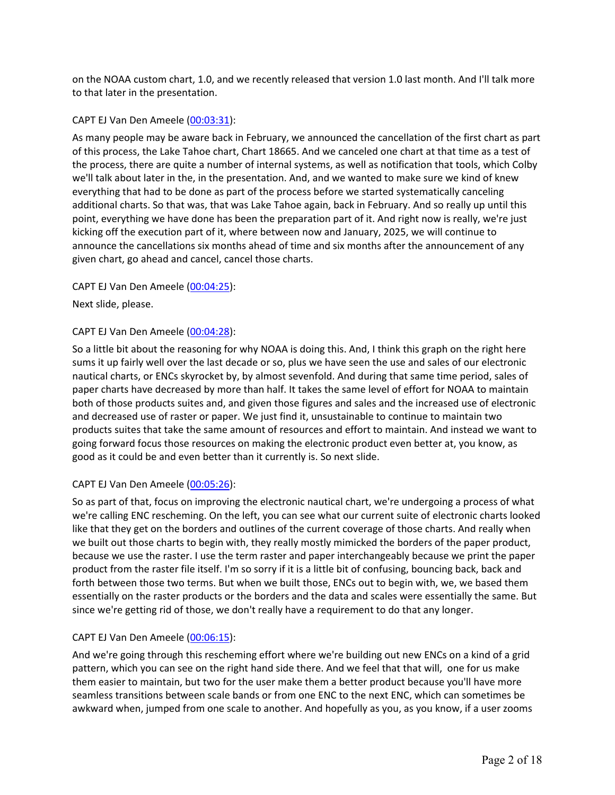on the NOAA custom chart, 1.0, and we recently released that version 1.0 last month. And I'll talk more to that later in the presentation.

### CAPT EJ Van Den Ameele (00:03:31):

As many people may be aware back in February, we announced the cancellation of the first chart as part of this process, the Lake Tahoe chart, Chart 18665. And we canceled one chart at that time as a test of the process, there are quite a number of internal systems, as well as notification that tools, which Colby we'll talk about later in the, in the presentation. And, and we wanted to make sure we kind of knew everything that had to be done as part of the process before we started systematically canceling additional charts. So that was, that was Lake Tahoe again, back in February. And so really up until this point, everything we have done has been the preparation part of it. And right now is really, we're just kicking off the execution part of it, where between now and January, 2025, we will continue to announce the cancellations six months ahead of time and six months after the announcement of any given chart, go ahead and cancel, cancel those charts.

CAPT EJ Van Den Ameele (00:04:25):

Next slide, please.

### CAPT EJ Van Den Ameele (00:04:28):

So a little bit about the reasoning for why NOAA is doing this. And, I think this graph on the right here sums it up fairly well over the last decade or so, plus we have seen the use and sales of our electronic nautical charts, or ENCs skyrocket by, by almost sevenfold. And during that same time period, sales of paper charts have decreased by more than half. It takes the same level of effort for NOAA to maintain both of those products suites and, and given those figures and sales and the increased use of electronic and decreased use of raster or paper. We just find it, unsustainable to continue to maintain two products suites that take the same amount of resources and effort to maintain. And instead we want to going forward focus those resources on making the electronic product even better at, you know, as good as it could be and even better than it currently is. So next slide.

## CAPT EJ Van Den Ameele (00:05:26):

So as part of that, focus on improving the electronic nautical chart, we're undergoing a process of what we're calling ENC rescheming. On the left, you can see what our current suite of electronic charts looked like that they get on the borders and outlines of the current coverage of those charts. And really when we built out those charts to begin with, they really mostly mimicked the borders of the paper product, because we use the raster. I use the term raster and paper interchangeably because we print the paper product from the raster file itself. I'm so sorry if it is a little bit of confusing, bouncing back, back and forth between those two terms. But when we built those, ENCs out to begin with, we, we based them essentially on the raster products or the borders and the data and scales were essentially the same. But since we're getting rid of those, we don't really have a requirement to do that any longer.

## CAPT EJ Van Den Ameele (00:06:15):

And we're going through this rescheming effort where we're building out new ENCs on a kind of a grid pattern, which you can see on the right hand side there. And we feel that that will, one for us make them easier to maintain, but two for the user make them a better product because you'll have more seamless transitions between scale bands or from one ENC to the next ENC, which can sometimes be awkward when, jumped from one scale to another. And hopefully as you, as you know, if a user zooms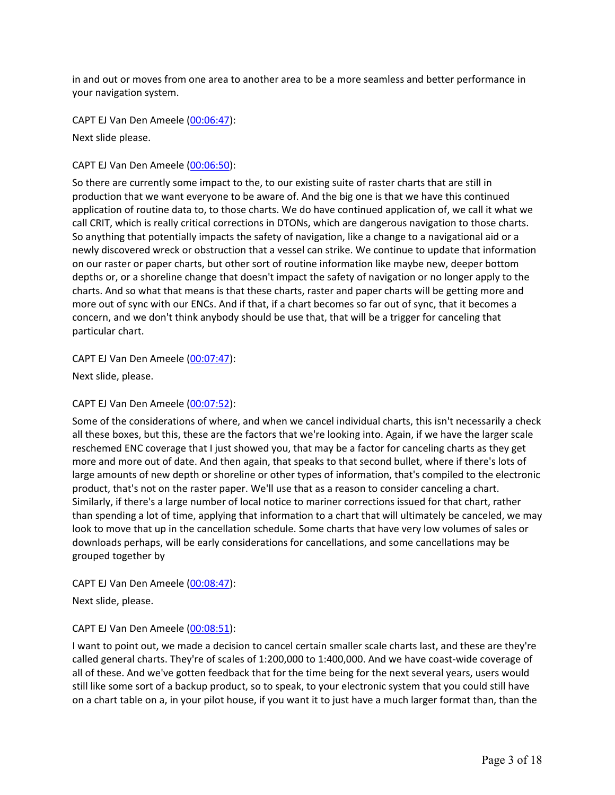in and out or moves from one area to another area to be a more seamless and better performance in your navigation system.

CAPT EJ Van Den Ameele (00:06:47):

Next slide please.

CAPT EJ Van Den Ameele (00:06:50):

So there are currently some impact to the, to our existing suite of raster charts that are still in production that we want everyone to be aware of. And the big one is that we have this continued application of routine data to, to those charts. We do have continued application of, we call it what we call CRIT, which is really critical corrections in DTONs, which are dangerous navigation to those charts. So anything that potentially impacts the safety of navigation, like a change to a navigational aid or a newly discovered wreck or obstruction that a vessel can strike. We continue to update that information on our raster or paper charts, but other sort of routine information like maybe new, deeper bottom depths or, or a shoreline change that doesn't impact the safety of navigation or no longer apply to the charts. And so what that means is that these charts, raster and paper charts will be getting more and more out of sync with our ENCs. And if that, if a chart becomes so far out of sync, that it becomes a concern, and we don't think anybody should be use that, that will be a trigger for canceling that particular chart.

CAPT EJ Van Den Ameele (00:07:47):

Next slide, please.

CAPT EJ Van Den Ameele (00:07:52):

Some of the considerations of where, and when we cancel individual charts, this isn't necessarily a check all these boxes, but this, these are the factors that we're looking into. Again, if we have the larger scale reschemed ENC coverage that I just showed you, that may be a factor for canceling charts as they get more and more out of date. And then again, that speaks to that second bullet, where if there's lots of large amounts of new depth or shoreline or other types of information, that's compiled to the electronic product, that's not on the raster paper. We'll use that as a reason to consider canceling a chart. Similarly, if there's a large number of local notice to mariner corrections issued for that chart, rather than spending a lot of time, applying that information to a chart that will ultimately be canceled, we may look to move that up in the cancellation schedule. Some charts that have very low volumes of sales or downloads perhaps, will be early considerations for cancellations, and some cancellations may be grouped together by

CAPT EJ Van Den Ameele (00:08:47):

Next slide, please.

CAPT EJ Van Den Ameele (00:08:51):

I want to point out, we made a decision to cancel certain smaller scale charts last, and these are they're called general charts. They're of scales of 1:200,000 to 1:400,000. And we have coast-wide coverage of all of these. And we've gotten feedback that for the time being for the next several years, users would still like some sort of a backup product, so to speak, to your electronic system that you could still have on a chart table on a, in your pilot house, if you want it to just have a much larger format than, than the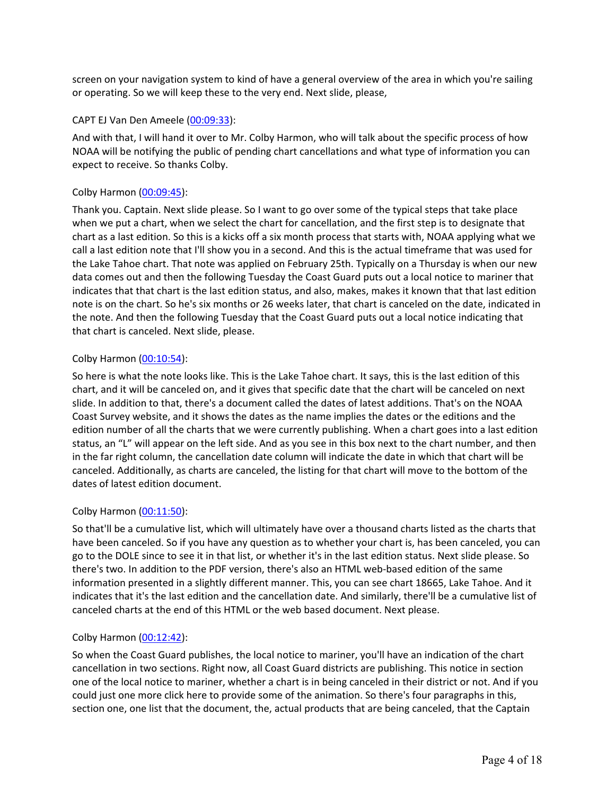screen on your navigation system to kind of have a general overview of the area in which you're sailing or operating. So we will keep these to the very end. Next slide, please,

#### CAPT EJ Van Den Ameele (00:09:33):

And with that, I will hand it over to Mr. Colby Harmon, who will talk about the specific process of how NOAA will be notifying the public of pending chart cancellations and what type of information you can expect to receive. So thanks Colby.

### Colby Harmon (00:09:45):

Thank you. Captain. Next slide please. So I want to go over some of the typical steps that take place when we put a chart, when we select the chart for cancellation, and the first step is to designate that chart as a last edition. So this is a kicks off a six month process that starts with, NOAA applying what we call a last edition note that I'll show you in a second. And this is the actual timeframe that was used for the Lake Tahoe chart. That note was applied on February 25th. Typically on a Thursday is when our new data comes out and then the following Tuesday the Coast Guard puts out a local notice to mariner that indicates that that chart is the last edition status, and also, makes, makes it known that that last edition note is on the chart. So he's six months or 26 weeks later, that chart is canceled on the date, indicated in the note. And then the following Tuesday that the Coast Guard puts out a local notice indicating that that chart is canceled. Next slide, please.

### Colby Harmon (00:10:54):

So here is what the note looks like. This is the Lake Tahoe chart. It says, this is the last edition of this chart, and it will be canceled on, and it gives that specific date that the chart will be canceled on next slide. In addition to that, there's a document called the dates of latest additions. That's on the NOAA Coast Survey website, and it shows the dates as the name implies the dates or the editions and the edition number of all the charts that we were currently publishing. When a chart goes into a last edition status, an "L" will appear on the left side. And as you see in this box next to the chart number, and then in the far right column, the cancellation date column will indicate the date in which that chart will be canceled. Additionally, as charts are canceled, the listing for that chart will move to the bottom of the dates of latest edition document.

#### Colby Harmon (00:11:50):

So that'll be a cumulative list, which will ultimately have over a thousand charts listed as the charts that have been canceled. So if you have any question as to whether your chart is, has been canceled, you can go to the DOLE since to see it in that list, or whether it's in the last edition status. Next slide please. So there's two. In addition to the PDF version, there's also an HTML web-based edition of the same information presented in a slightly different manner. This, you can see chart 18665, Lake Tahoe. And it indicates that it's the last edition and the cancellation date. And similarly, there'll be a cumulative list of canceled charts at the end of this HTML or the web based document. Next please.

## Colby Harmon (00:12:42):

So when the Coast Guard publishes, the local notice to mariner, you'll have an indication of the chart cancellation in two sections. Right now, all Coast Guard districts are publishing. This notice in section one of the local notice to mariner, whether a chart is in being canceled in their district or not. And if you could just one more click here to provide some of the animation. So there's four paragraphs in this, section one, one list that the document, the, actual products that are being canceled, that the Captain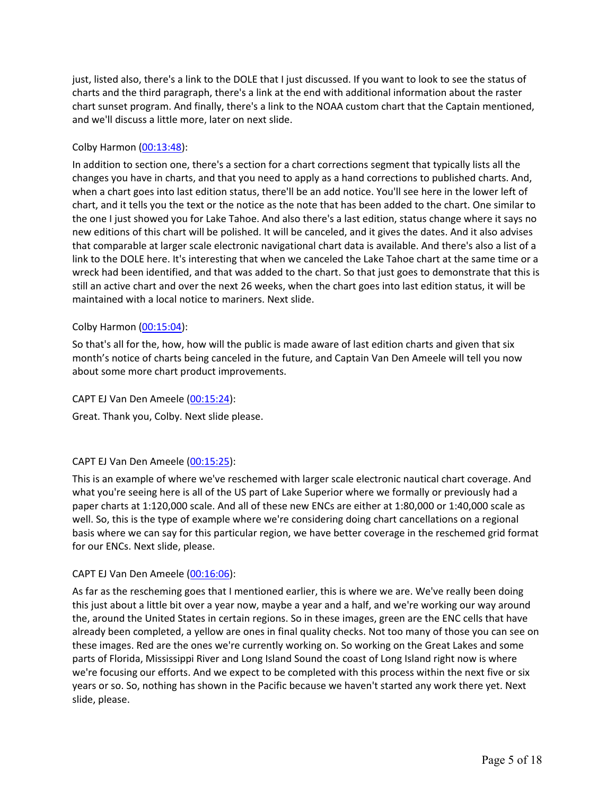just, listed also, there's a link to the DOLE that I just discussed. If you want to look to see the status of charts and the third paragraph, there's a link at the end with additional information about the raster chart sunset program. And finally, there's a link to the NOAA custom chart that the Captain mentioned, and we'll discuss a little more, later on next slide.

## Colby Harmon (00:13:48):

In addition to section one, there's a section for a chart corrections segment that typically lists all the changes you have in charts, and that you need to apply as a hand corrections to published charts. And, when a chart goes into last edition status, there'll be an add notice. You'll see here in the lower left of chart, and it tells you the text or the notice as the note that has been added to the chart. One similar to the one I just showed you for Lake Tahoe. And also there's a last edition, status change where it says no new editions of this chart will be polished. It will be canceled, and it gives the dates. And it also advises that comparable at larger scale electronic navigational chart data is available. And there's also a list of a link to the DOLE here. It's interesting that when we canceled the Lake Tahoe chart at the same time or a wreck had been identified, and that was added to the chart. So that just goes to demonstrate that this is still an active chart and over the next 26 weeks, when the chart goes into last edition status, it will be maintained with a local notice to mariners. Next slide.

## Colby Harmon (00:15:04):

So that's all for the, how, how will the public is made aware of last edition charts and given that six month's notice of charts being canceled in the future, and Captain Van Den Ameele will tell you now about some more chart product improvements.

## CAPT EJ Van Den Ameele (00:15:24):

Great. Thank you, Colby. Next slide please.

# CAPT EJ Van Den Ameele (00:15:25):

This is an example of where we've reschemed with larger scale electronic nautical chart coverage. And what you're seeing here is all of the US part of Lake Superior where we formally or previously had a paper charts at 1:120,000 scale. And all of these new ENCs are either at 1:80,000 or 1:40,000 scale as well. So, this is the type of example where we're considering doing chart cancellations on a regional basis where we can say for this particular region, we have better coverage in the reschemed grid format for our ENCs. Next slide, please.

## CAPT EJ Van Den Ameele (00:16:06):

As far as the rescheming goes that I mentioned earlier, this is where we are. We've really been doing this just about a little bit over a year now, maybe a year and a half, and we're working our way around the, around the United States in certain regions. So in these images, green are the ENC cells that have already been completed, a yellow are ones in final quality checks. Not too many of those you can see on these images. Red are the ones we're currently working on. So working on the Great Lakes and some parts of Florida, Mississippi River and Long Island Sound the coast of Long Island right now is where we're focusing our efforts. And we expect to be completed with this process within the next five or six years or so. So, nothing has shown in the Pacific because we haven't started any work there yet. Next slide, please.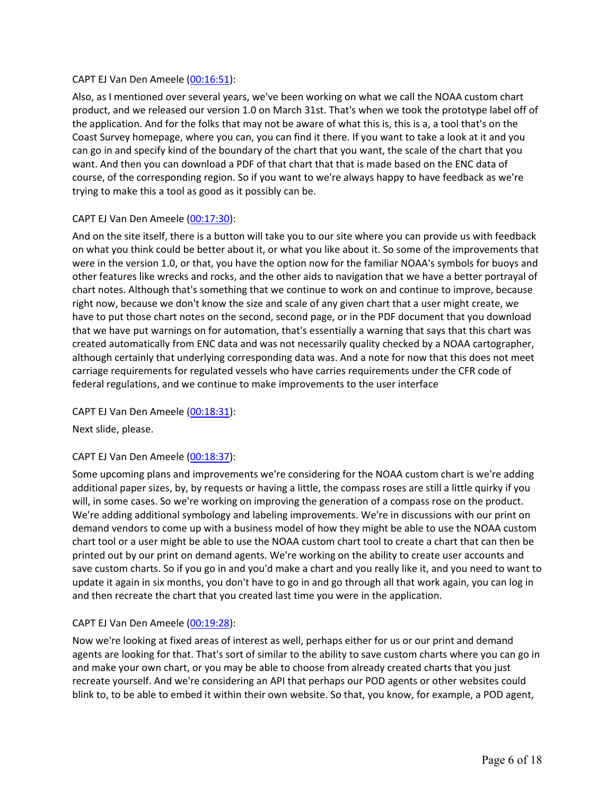## CAPT EJ Van Den Ameele (00:16:51):

Also, as I mentioned over several years, we've been working on what we call the NOAA custom chart product, and we released our version 1.0 on March 31st. That's when we took the prototype label off of the application. And for the folks that may not be aware of what this is, this is a, a tool that's on the Coast Survey homepage, where you can, you can find it there. If you want to take a look at it and you can go in and specify kind of the boundary of the chart that you want, the scale of the chart that you want. And then you can download a PDF of that chart that that is made based on the ENC data of course, of the corresponding region. So if you want to we're always happy to have feedback as we're trying to make this a tool as good as it possibly can be.

## CAPT EJ Van Den Ameele (00:17:30):

And on the site itself, there is a button will take you to our site where you can provide us with feedback on what you think could be better about it, or what you like about it. So some of the improvements that were in the version 1.0, or that, you have the option now for the familiar NOAA's symbols for buoys and other features like wrecks and rocks, and the other aids to navigation that we have a better portrayal of chart notes. Although that's something that we continue to work on and continue to improve, because right now, because we don't know the size and scale of any given chart that a user might create, we have to put those chart notes on the second, second page, or in the PDF document that you download that we have put warnings on for automation, that's essentially a warning that says that this chart was created automatically from ENC data and was not necessarily quality checked by a NOAA cartographer, although certainly that underlying corresponding data was. And a note for now that this does not meet carriage requirements for regulated vessels who have carries requirements under the CFR code of federal regulations, and we continue to make improvements to the user interface

CAPT EJ Van Den Ameele (00:18:31):

Next slide, please.

## CAPT EJ Van Den Ameele (00:18:37):

Some upcoming plans and improvements we're considering for the NOAA custom chart is we're adding additional paper sizes, by, by requests or having a little, the compass roses are still a little quirky if you will, in some cases. So we're working on improving the generation of a compass rose on the product. We're adding additional symbology and labeling improvements. We're in discussions with our print on demand vendors to come up with a business model of how they might be able to use the NOAA custom chart tool or a user might be able to use the NOAA custom chart tool to create a chart that can then be printed out by our print on demand agents. We're working on the ability to create user accounts and save custom charts. So if you go in and you'd make a chart and you really like it, and you need to want to update it again in six months, you don't have to go in and go through all that work again, you can log in and then recreate the chart that you created last time you were in the application.

## CAPT EJ Van Den Ameele (00:19:28):

Now we're looking at fixed areas of interest as well, perhaps either for us or our print and demand agents are looking for that. That's sort of similar to the ability to save custom charts where you can go in and make your own chart, or you may be able to choose from already created charts that you just recreate yourself. And we're considering an API that perhaps our POD agents or other websites could blink to, to be able to embed it within their own website. So that, you know, for example, a POD agent,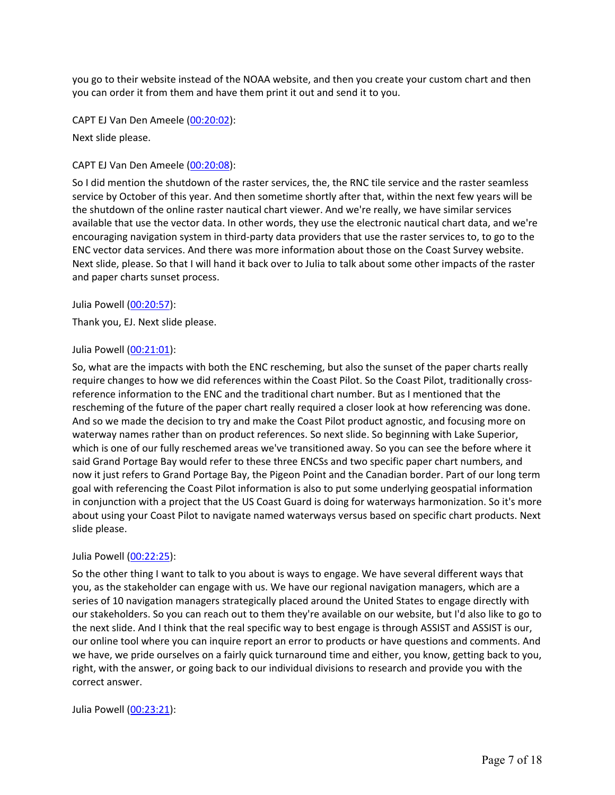you go to their website instead of the NOAA website, and then you create your custom chart and then you can order it from them and have them print it out and send it to you.

CAPT EJ Van Den Ameele (00:20:02):

Next slide please.

### CAPT EJ Van Den Ameele (00:20:08):

So I did mention the shutdown of the raster services, the, the RNC tile service and the raster seamless service by October of this year. And then sometime shortly after that, within the next few years will be the shutdown of the online raster nautical chart viewer. And we're really, we have similar services available that use the vector data. In other words, they use the electronic nautical chart data, and we're encouraging navigation system in third-party data providers that use the raster services to, to go to the ENC vector data services. And there was more information about those on the Coast Survey website. Next slide, please. So that I will hand it back over to Julia to talk about some other impacts of the raster and paper charts sunset process.

Julia Powell (00:20:57):

Thank you, EJ. Next slide please.

### Julia Powell (00:21:01):

So, what are the impacts with both the ENC rescheming, but also the sunset of the paper charts really require changes to how we did references within the Coast Pilot. So the Coast Pilot, traditionally crossreference information to the ENC and the traditional chart number. But as I mentioned that the rescheming of the future of the paper chart really required a closer look at how referencing was done. And so we made the decision to try and make the Coast Pilot product agnostic, and focusing more on waterway names rather than on product references. So next slide. So beginning with Lake Superior, which is one of our fully reschemed areas we've transitioned away. So you can see the before where it said Grand Portage Bay would refer to these three ENCSs and two specific paper chart numbers, and now it just refers to Grand Portage Bay, the Pigeon Point and the Canadian border. Part of our long term goal with referencing the Coast Pilot information is also to put some underlying geospatial information in conjunction with a project that the US Coast Guard is doing for waterways harmonization. So it's more about using your Coast Pilot to navigate named waterways versus based on specific chart products. Next slide please.

#### Julia Powell (00:22:25):

So the other thing I want to talk to you about is ways to engage. We have several different ways that you, as the stakeholder can engage with us. We have our regional navigation managers, which are a series of 10 navigation managers strategically placed around the United States to engage directly with our stakeholders. So you can reach out to them they're available on our website, but I'd also like to go to the next slide. And I think that the real specific way to best engage is through ASSIST and ASSIST is our, our online tool where you can inquire report an error to products or have questions and comments. And we have, we pride ourselves on a fairly quick turnaround time and either, you know, getting back to you, right, with the answer, or going back to our individual divisions to research and provide you with the correct answer.

#### Julia Powell (00:23:21):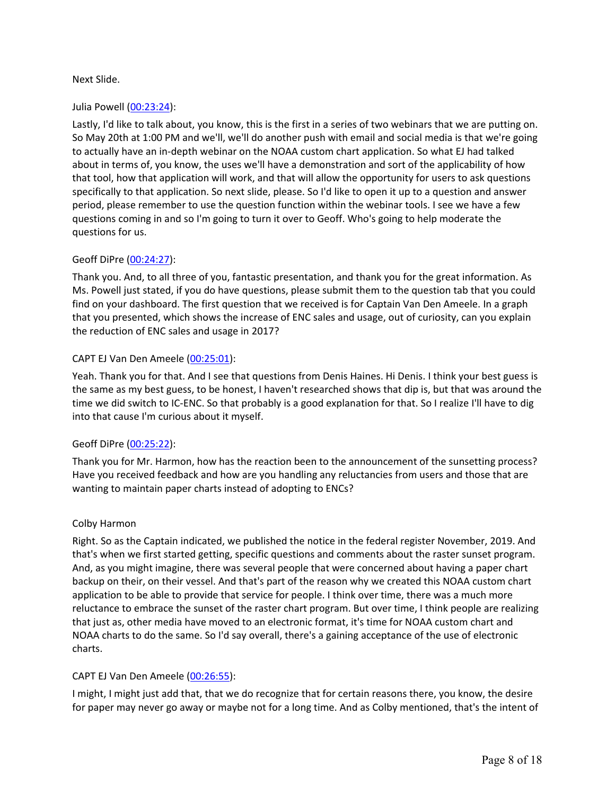## Next Slide.

## Julia Powell (00:23:24):

Lastly, I'd like to talk about, you know, this is the first in a series of two webinars that we are putting on. So May 20th at 1:00 PM and we'll, we'll do another push with email and social media is that we're going to actually have an in-depth webinar on the NOAA custom chart application. So what EJ had talked about in terms of, you know, the uses we'll have a demonstration and sort of the applicability of how that tool, how that application will work, and that will allow the opportunity for users to ask questions specifically to that application. So next slide, please. So I'd like to open it up to a question and answer period, please remember to use the question function within the webinar tools. I see we have a few questions coming in and so I'm going to turn it over to Geoff. Who's going to help moderate the questions for us.

### Geoff DiPre (00:24:27):

Thank you. And, to all three of you, fantastic presentation, and thank you for the great information. As Ms. Powell just stated, if you do have questions, please submit them to the question tab that you could find on your dashboard. The first question that we received is for Captain Van Den Ameele. In a graph that you presented, which shows the increase of ENC sales and usage, out of curiosity, can you explain the reduction of ENC sales and usage in 2017?

### CAPT EJ Van Den Ameele (00:25:01):

Yeah. Thank you for that. And I see that questions from Denis Haines. Hi Denis. I think your best guess is the same as my best guess, to be honest, I haven't researched shows that dip is, but that was around the time we did switch to IC-ENC. So that probably is a good explanation for that. So I realize I'll have to dig into that cause I'm curious about it myself.

#### Geoff DiPre (00:25:22):

Thank you for Mr. Harmon, how has the reaction been to the announcement of the sunsetting process? Have you received feedback and how are you handling any reluctancies from users and those that are wanting to maintain paper charts instead of adopting to ENCs?

#### Colby Harmon

Right. So as the Captain indicated, we published the notice in the federal register November, 2019. And that's when we first started getting, specific questions and comments about the raster sunset program. And, as you might imagine, there was several people that were concerned about having a paper chart backup on their, on their vessel. And that's part of the reason why we created this NOAA custom chart application to be able to provide that service for people. I think over time, there was a much more reluctance to embrace the sunset of the raster chart program. But over time, I think people are realizing that just as, other media have moved to an electronic format, it's time for NOAA custom chart and NOAA charts to do the same. So I'd say overall, there's a gaining acceptance of the use of electronic charts.

## CAPT EJ Van Den Ameele (00:26:55):

I might, I might just add that, that we do recognize that for certain reasons there, you know, the desire for paper may never go away or maybe not for a long time. And as Colby mentioned, that's the intent of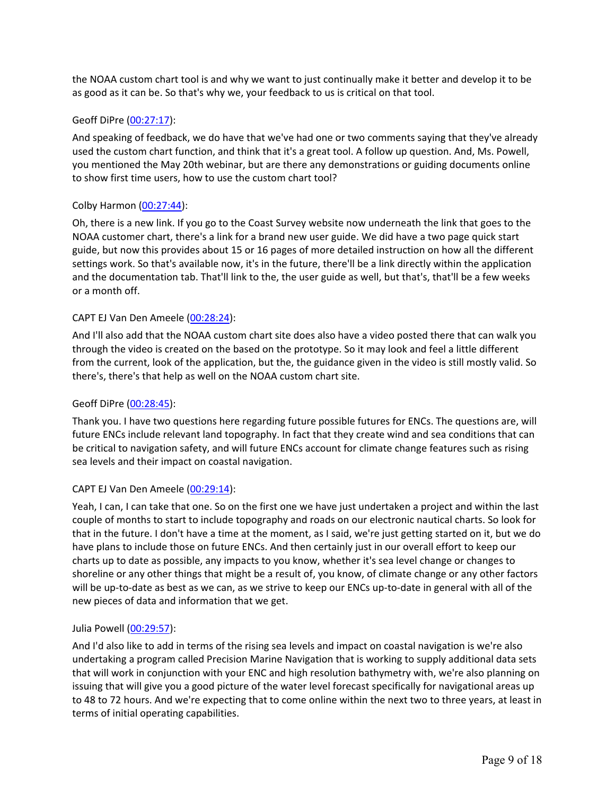the NOAA custom chart tool is and why we want to just continually make it better and develop it to be as good as it can be. So that's why we, your feedback to us is critical on that tool.

## Geoff DiPre (00:27:17):

And speaking of feedback, we do have that we've had one or two comments saying that they've already used the custom chart function, and think that it's a great tool. A follow up question. And, Ms. Powell, you mentioned the May 20th webinar, but are there any demonstrations or guiding documents online to show first time users, how to use the custom chart tool?

### Colby Harmon (00:27:44):

Oh, there is a new link. If you go to the Coast Survey website now underneath the link that goes to the NOAA customer chart, there's a link for a brand new user guide. We did have a two page quick start guide, but now this provides about 15 or 16 pages of more detailed instruction on how all the different settings work. So that's available now, it's in the future, there'll be a link directly within the application and the documentation tab. That'll link to the, the user guide as well, but that's, that'll be a few weeks or a month off.

### CAPT EJ Van Den Ameele (00:28:24):

And I'll also add that the NOAA custom chart site does also have a video posted there that can walk you through the video is created on the based on the prototype. So it may look and feel a little different from the current, look of the application, but the, the guidance given in the video is still mostly valid. So there's, there's that help as well on the NOAA custom chart site.

### Geoff DiPre (00:28:45):

Thank you. I have two questions here regarding future possible futures for ENCs. The questions are, will future ENCs include relevant land topography. In fact that they create wind and sea conditions that can be critical to navigation safety, and will future ENCs account for climate change features such as rising sea levels and their impact on coastal navigation.

#### CAPT EJ Van Den Ameele (00:29:14):

Yeah, I can, I can take that one. So on the first one we have just undertaken a project and within the last couple of months to start to include topography and roads on our electronic nautical charts. So look for that in the future. I don't have a time at the moment, as I said, we're just getting started on it, but we do have plans to include those on future ENCs. And then certainly just in our overall effort to keep our charts up to date as possible, any impacts to you know, whether it's sea level change or changes to shoreline or any other things that might be a result of, you know, of climate change or any other factors will be up-to-date as best as we can, as we strive to keep our ENCs up-to-date in general with all of the new pieces of data and information that we get.

#### Julia Powell (00:29:57):

And I'd also like to add in terms of the rising sea levels and impact on coastal navigation is we're also undertaking a program called Precision Marine Navigation that is working to supply additional data sets that will work in conjunction with your ENC and high resolution bathymetry with, we're also planning on issuing that will give you a good picture of the water level forecast specifically for navigational areas up to 48 to 72 hours. And we're expecting that to come online within the next two to three years, at least in terms of initial operating capabilities.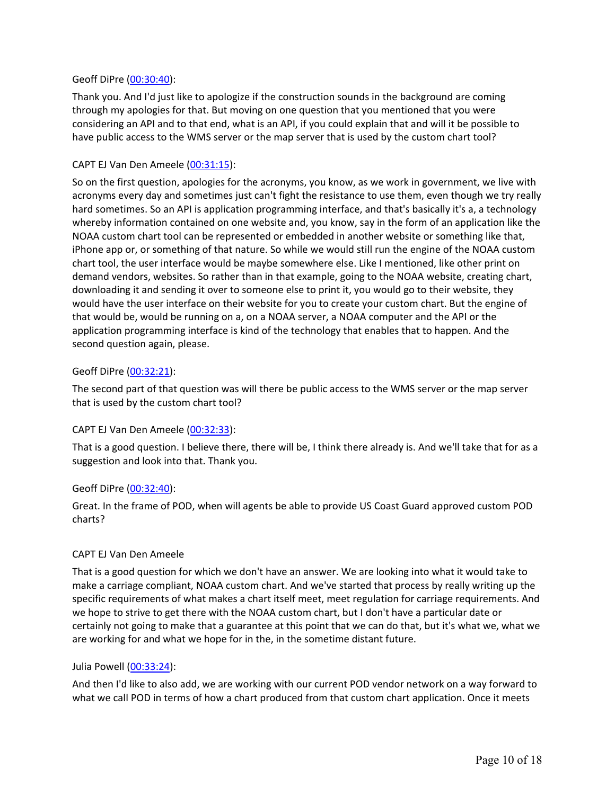#### Geoff DiPre (00:30:40):

Thank you. And I'd just like to apologize if the construction sounds in the background are coming through my apologies for that. But moving on one question that you mentioned that you were considering an API and to that end, what is an API, if you could explain that and will it be possible to have public access to the WMS server or the map server that is used by the custom chart tool?

### CAPT EJ Van Den Ameele (00:31:15):

So on the first question, apologies for the acronyms, you know, as we work in government, we live with acronyms every day and sometimes just can't fight the resistance to use them, even though we try really hard sometimes. So an API is application programming interface, and that's basically it's a, a technology whereby information contained on one website and, you know, say in the form of an application like the NOAA custom chart tool can be represented or embedded in another website or something like that, iPhone app or, or something of that nature. So while we would still run the engine of the NOAA custom chart tool, the user interface would be maybe somewhere else. Like I mentioned, like other print on demand vendors, websites. So rather than in that example, going to the NOAA website, creating chart, downloading it and sending it over to someone else to print it, you would go to their website, they would have the user interface on their website for you to create your custom chart. But the engine of that would be, would be running on a, on a NOAA server, a NOAA computer and the API or the application programming interface is kind of the technology that enables that to happen. And the second question again, please.

### Geoff DiPre (00:32:21):

The second part of that question was will there be public access to the WMS server or the map server that is used by the custom chart tool?

## CAPT EJ Van Den Ameele (00:32:33):

That is a good question. I believe there, there will be, I think there already is. And we'll take that for as a suggestion and look into that. Thank you.

#### Geoff DiPre (00:32:40):

Great. In the frame of POD, when will agents be able to provide US Coast Guard approved custom POD charts?

#### CAPT EJ Van Den Ameele

That is a good question for which we don't have an answer. We are looking into what it would take to make a carriage compliant, NOAA custom chart. And we've started that process by really writing up the specific requirements of what makes a chart itself meet, meet regulation for carriage requirements. And we hope to strive to get there with the NOAA custom chart, but I don't have a particular date or certainly not going to make that a guarantee at this point that we can do that, but it's what we, what we are working for and what we hope for in the, in the sometime distant future.

#### Julia Powell (00:33:24):

And then I'd like to also add, we are working with our current POD vendor network on a way forward to what we call POD in terms of how a chart produced from that custom chart application. Once it meets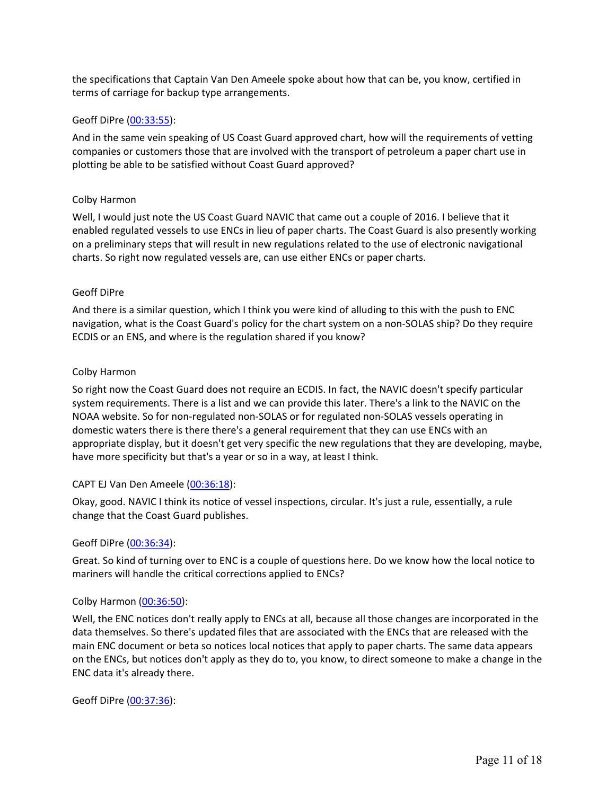the specifications that Captain Van Den Ameele spoke about how that can be, you know, certified in terms of carriage for backup type arrangements.

## Geoff DiPre (00:33:55):

And in the same vein speaking of US Coast Guard approved chart, how will the requirements of vetting companies or customers those that are involved with the transport of petroleum a paper chart use in plotting be able to be satisfied without Coast Guard approved?

### Colby Harmon

Well, I would just note the US Coast Guard NAVIC that came out a couple of 2016. I believe that it enabled regulated vessels to use ENCs in lieu of paper charts. The Coast Guard is also presently working on a preliminary steps that will result in new regulations related to the use of electronic navigational charts. So right now regulated vessels are, can use either ENCs or paper charts.

## Geoff DiPre

And there is a similar question, which I think you were kind of alluding to this with the push to ENC navigation, what is the Coast Guard's policy for the chart system on a non-SOLAS ship? Do they require ECDIS or an ENS, and where is the regulation shared if you know?

### Colby Harmon

So right now the Coast Guard does not require an ECDIS. In fact, the NAVIC doesn't specify particular system requirements. There is a list and we can provide this later. There's a link to the NAVIC on the NOAA website. So for non-regulated non-SOLAS or for regulated non-SOLAS vessels operating in domestic waters there is there there's a general requirement that they can use ENCs with an appropriate display, but it doesn't get very specific the new regulations that they are developing, maybe, have more specificity but that's a year or so in a way, at least I think.

## CAPT EJ Van Den Ameele (00:36:18):

Okay, good. NAVIC I think its notice of vessel inspections, circular. It's just a rule, essentially, a rule change that the Coast Guard publishes.

#### Geoff DiPre (00:36:34):

Great. So kind of turning over to ENC is a couple of questions here. Do we know how the local notice to mariners will handle the critical corrections applied to ENCs?

## Colby Harmon (00:36:50):

Well, the ENC notices don't really apply to ENCs at all, because all those changes are incorporated in the data themselves. So there's updated files that are associated with the ENCs that are released with the main ENC document or beta so notices local notices that apply to paper charts. The same data appears on the ENCs, but notices don't apply as they do to, you know, to direct someone to make a change in the ENC data it's already there.

Geoff DiPre (00:37:36):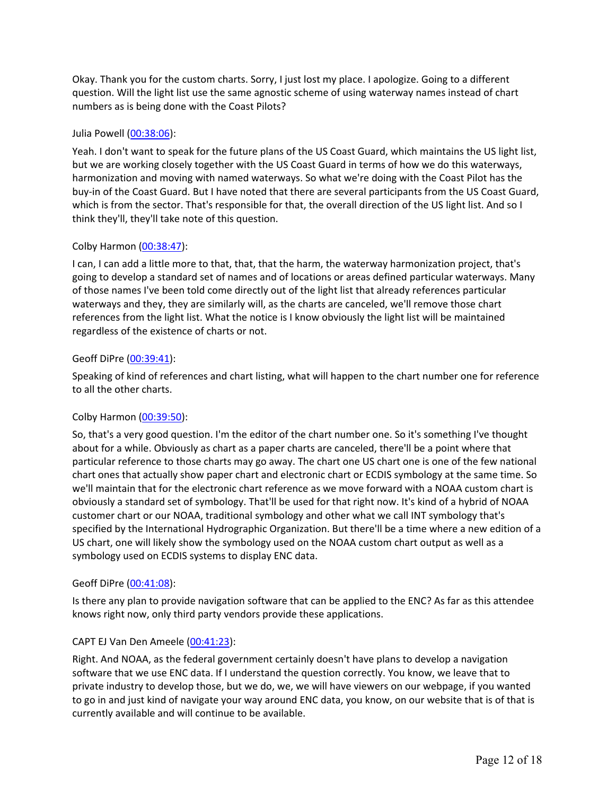Okay. Thank you for the custom charts. Sorry, I just lost my place. I apologize. Going to a different question. Will the light list use the same agnostic scheme of using waterway names instead of chart numbers as is being done with the Coast Pilots?

### Julia Powell (00:38:06):

Yeah. I don't want to speak for the future plans of the US Coast Guard, which maintains the US light list, but we are working closely together with the US Coast Guard in terms of how we do this waterways, harmonization and moving with named waterways. So what we're doing with the Coast Pilot has the buy-in of the Coast Guard. But I have noted that there are several participants from the US Coast Guard, which is from the sector. That's responsible for that, the overall direction of the US light list. And so I think they'll, they'll take note of this question.

### Colby Harmon (00:38:47):

I can, I can add a little more to that, that, that the harm, the waterway harmonization project, that's going to develop a standard set of names and of locations or areas defined particular waterways. Many of those names I've been told come directly out of the light list that already references particular waterways and they, they are similarly will, as the charts are canceled, we'll remove those chart references from the light list. What the notice is I know obviously the light list will be maintained regardless of the existence of charts or not.

### Geoff DiPre (00:39:41):

Speaking of kind of references and chart listing, what will happen to the chart number one for reference to all the other charts.

## Colby Harmon (00:39:50):

So, that's a very good question. I'm the editor of the chart number one. So it's something I've thought about for a while. Obviously as chart as a paper charts are canceled, there'll be a point where that particular reference to those charts may go away. The chart one US chart one is one of the few national chart ones that actually show paper chart and electronic chart or ECDIS symbology at the same time. So we'll maintain that for the electronic chart reference as we move forward with a NOAA custom chart is obviously a standard set of symbology. That'll be used for that right now. It's kind of a hybrid of NOAA customer chart or our NOAA, traditional symbology and other what we call INT symbology that's specified by the International Hydrographic Organization. But there'll be a time where a new edition of a US chart, one will likely show the symbology used on the NOAA custom chart output as well as a symbology used on ECDIS systems to display ENC data.

#### Geoff DiPre (00:41:08):

Is there any plan to provide navigation software that can be applied to the ENC? As far as this attendee knows right now, only third party vendors provide these applications.

## CAPT EJ Van Den Ameele (00:41:23):

Right. And NOAA, as the federal government certainly doesn't have plans to develop a navigation software that we use ENC data. If I understand the question correctly. You know, we leave that to private industry to develop those, but we do, we, we will have viewers on our webpage, if you wanted to go in and just kind of navigate your way around ENC data, you know, on our website that is of that is currently available and will continue to be available.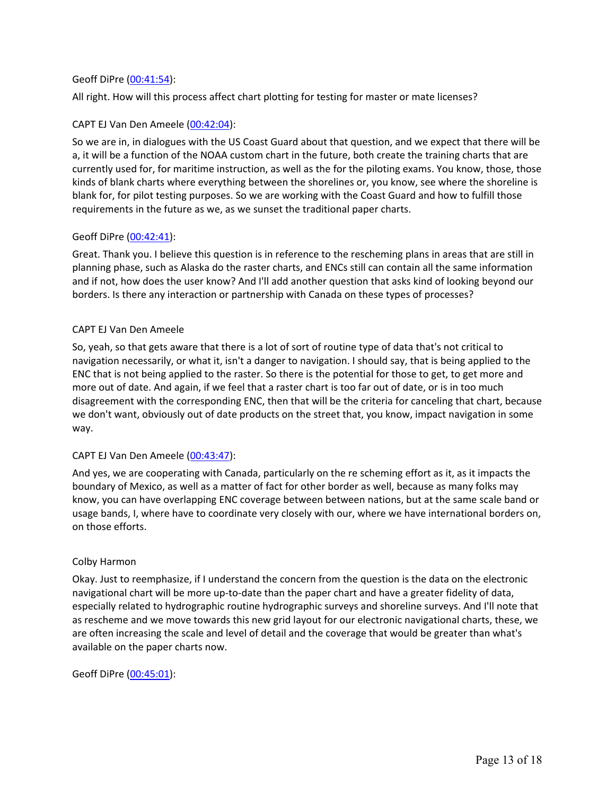### Geoff DiPre (00:41:54):

All right. How will this process affect chart plotting for testing for master or mate licenses?

## CAPT EJ Van Den Ameele (00:42:04):

So we are in, in dialogues with the US Coast Guard about that question, and we expect that there will be a, it will be a function of the NOAA custom chart in the future, both create the training charts that are currently used for, for maritime instruction, as well as the for the piloting exams. You know, those, those kinds of blank charts where everything between the shorelines or, you know, see where the shoreline is blank for, for pilot testing purposes. So we are working with the Coast Guard and how to fulfill those requirements in the future as we, as we sunset the traditional paper charts.

## Geoff DiPre (00:42:41):

Great. Thank you. I believe this question is in reference to the rescheming plans in areas that are still in planning phase, such as Alaska do the raster charts, and ENCs still can contain all the same information and if not, how does the user know? And I'll add another question that asks kind of looking beyond our borders. Is there any interaction or partnership with Canada on these types of processes?

### CAPT EJ Van Den Ameele

So, yeah, so that gets aware that there is a lot of sort of routine type of data that's not critical to navigation necessarily, or what it, isn't a danger to navigation. I should say, that is being applied to the ENC that is not being applied to the raster. So there is the potential for those to get, to get more and more out of date. And again, if we feel that a raster chart is too far out of date, or is in too much disagreement with the corresponding ENC, then that will be the criteria for canceling that chart, because we don't want, obviously out of date products on the street that, you know, impact navigation in some way.

## CAPT EJ Van Den Ameele (00:43:47):

And yes, we are cooperating with Canada, particularly on the re scheming effort as it, as it impacts the boundary of Mexico, as well as a matter of fact for other border as well, because as many folks may know, you can have overlapping ENC coverage between between nations, but at the same scale band or usage bands, I, where have to coordinate very closely with our, where we have international borders on, on those efforts.

#### Colby Harmon

Okay. Just to reemphasize, if I understand the concern from the question is the data on the electronic navigational chart will be more up-to-date than the paper chart and have a greater fidelity of data, especially related to hydrographic routine hydrographic surveys and shoreline surveys. And I'll note that as rescheme and we move towards this new grid layout for our electronic navigational charts, these, we are often increasing the scale and level of detail and the coverage that would be greater than what's available on the paper charts now.

Geoff DiPre (00:45:01):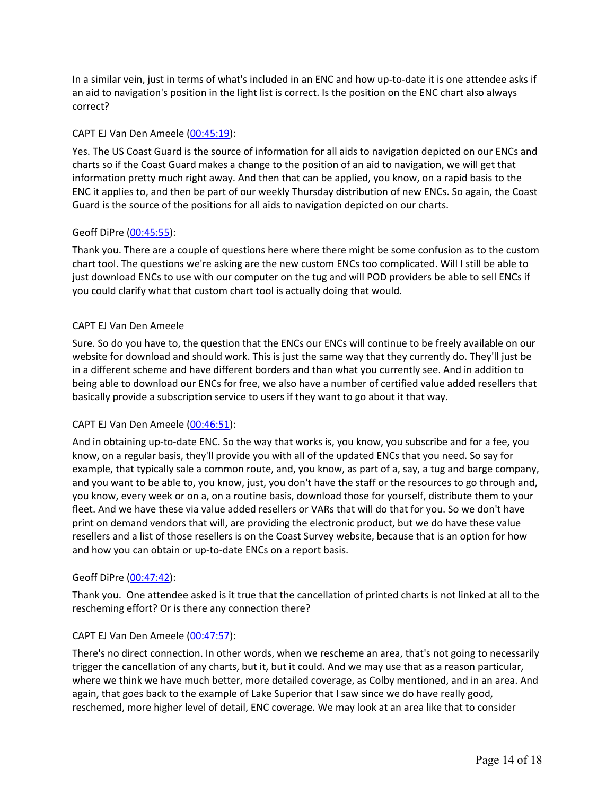In a similar vein, just in terms of what's included in an ENC and how up-to-date it is one attendee asks if an aid to navigation's position in the light list is correct. Is the position on the ENC chart also always correct?

## CAPT EJ Van Den Ameele (00:45:19):

Yes. The US Coast Guard is the source of information for all aids to navigation depicted on our ENCs and charts so if the Coast Guard makes a change to the position of an aid to navigation, we will get that information pretty much right away. And then that can be applied, you know, on a rapid basis to the ENC it applies to, and then be part of our weekly Thursday distribution of new ENCs. So again, the Coast Guard is the source of the positions for all aids to navigation depicted on our charts.

## Geoff DiPre (00:45:55):

Thank you. There are a couple of questions here where there might be some confusion as to the custom chart tool. The questions we're asking are the new custom ENCs too complicated. Will I still be able to just download ENCs to use with our computer on the tug and will POD providers be able to sell ENCs if you could clarify what that custom chart tool is actually doing that would.

## CAPT EJ Van Den Ameele

Sure. So do you have to, the question that the ENCs our ENCs will continue to be freely available on our website for download and should work. This is just the same way that they currently do. They'll just be in a different scheme and have different borders and than what you currently see. And in addition to being able to download our ENCs for free, we also have a number of certified value added resellers that basically provide a subscription service to users if they want to go about it that way.

## CAPT EJ Van Den Ameele (00:46:51):

And in obtaining up-to-date ENC. So the way that works is, you know, you subscribe and for a fee, you know, on a regular basis, they'll provide you with all of the updated ENCs that you need. So say for example, that typically sale a common route, and, you know, as part of a, say, a tug and barge company, and you want to be able to, you know, just, you don't have the staff or the resources to go through and, you know, every week or on a, on a routine basis, download those for yourself, distribute them to your fleet. And we have these via value added resellers or VARs that will do that for you. So we don't have print on demand vendors that will, are providing the electronic product, but we do have these value resellers and a list of those resellers is on the Coast Survey website, because that is an option for how and how you can obtain or up-to-date ENCs on a report basis.

## Geoff DiPre (00:47:42):

Thank you. One attendee asked is it true that the cancellation of printed charts is not linked at all to the rescheming effort? Or is there any connection there?

## CAPT EJ Van Den Ameele (00:47:57):

There's no direct connection. In other words, when we rescheme an area, that's not going to necessarily trigger the cancellation of any charts, but it, but it could. And we may use that as a reason particular, where we think we have much better, more detailed coverage, as Colby mentioned, and in an area. And again, that goes back to the example of Lake Superior that I saw since we do have really good, reschemed, more higher level of detail, ENC coverage. We may look at an area like that to consider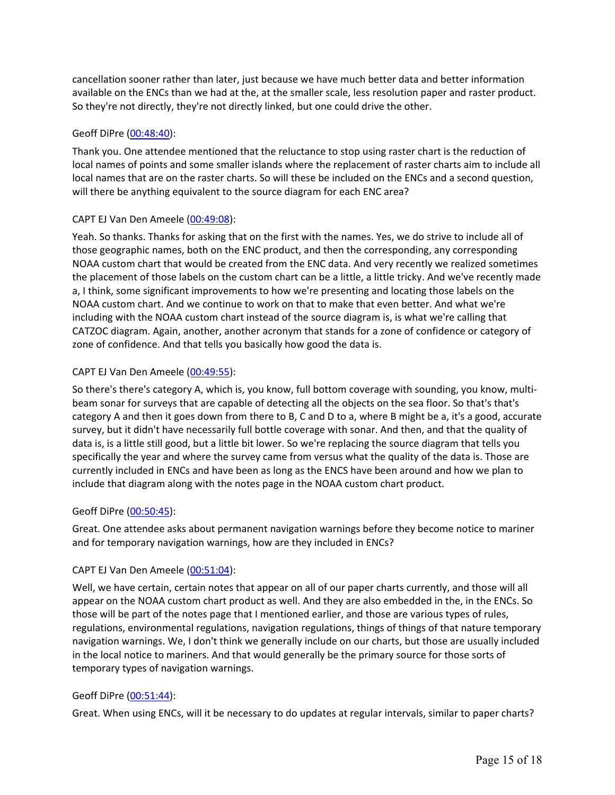cancellation sooner rather than later, just because we have much better data and better information available on the ENCs than we had at the, at the smaller scale, less resolution paper and raster product. So they're not directly, they're not directly linked, but one could drive the other.

## Geoff DiPre (00:48:40):

Thank you. One attendee mentioned that the reluctance to stop using raster chart is the reduction of local names of points and some smaller islands where the replacement of raster charts aim to include all local names that are on the raster charts. So will these be included on the ENCs and a second question, will there be anything equivalent to the source diagram for each ENC area?

## CAPT EJ Van Den Ameele (00:49:08):

Yeah. So thanks. Thanks for asking that on the first with the names. Yes, we do strive to include all of those geographic names, both on the ENC product, and then the corresponding, any corresponding NOAA custom chart that would be created from the ENC data. And very recently we realized sometimes the placement of those labels on the custom chart can be a little, a little tricky. And we've recently made a, I think, some significant improvements to how we're presenting and locating those labels on the NOAA custom chart. And we continue to work on that to make that even better. And what we're including with the NOAA custom chart instead of the source diagram is, is what we're calling that CATZOC diagram. Again, another, another acronym that stands for a zone of confidence or category of zone of confidence. And that tells you basically how good the data is.

## CAPT EJ Van Den Ameele (00:49:55):

So there's there's category A, which is, you know, full bottom coverage with sounding, you know, multibeam sonar for surveys that are capable of detecting all the objects on the sea floor. So that's that's category A and then it goes down from there to B, C and D to a, where B might be a, it's a good, accurate survey, but it didn't have necessarily full bottle coverage with sonar. And then, and that the quality of data is, is a little still good, but a little bit lower. So we're replacing the source diagram that tells you specifically the year and where the survey came from versus what the quality of the data is. Those are currently included in ENCs and have been as long as the ENCS have been around and how we plan to include that diagram along with the notes page in the NOAA custom chart product.

## Geoff DiPre (00:50:45):

Great. One attendee asks about permanent navigation warnings before they become notice to mariner and for temporary navigation warnings, how are they included in ENCs?

## CAPT EJ Van Den Ameele (00:51:04):

Well, we have certain, certain notes that appear on all of our paper charts currently, and those will all appear on the NOAA custom chart product as well. And they are also embedded in the, in the ENCs. So those will be part of the notes page that I mentioned earlier, and those are various types of rules, regulations, environmental regulations, navigation regulations, things of things of that nature temporary navigation warnings. We, I don't think we generally include on our charts, but those are usually included in the local notice to mariners. And that would generally be the primary source for those sorts of temporary types of navigation warnings.

# Geoff DiPre (00:51:44):

Great. When using ENCs, will it be necessary to do updates at regular intervals, similar to paper charts?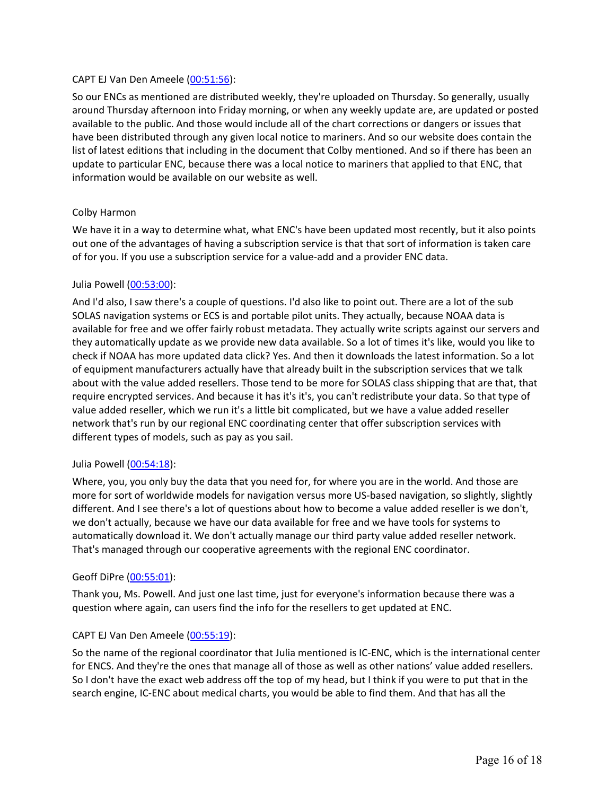## CAPT EJ Van Den Ameele (00:51:56):

So our ENCs as mentioned are distributed weekly, they're uploaded on Thursday. So generally, usually around Thursday afternoon into Friday morning, or when any weekly update are, are updated or posted available to the public. And those would include all of the chart corrections or dangers or issues that have been distributed through any given local notice to mariners. And so our website does contain the list of latest editions that including in the document that Colby mentioned. And so if there has been an update to particular ENC, because there was a local notice to mariners that applied to that ENC, that information would be available on our website as well.

### Colby Harmon

We have it in a way to determine what, what ENC's have been updated most recently, but it also points out one of the advantages of having a subscription service is that that sort of information is taken care of for you. If you use a subscription service for a value-add and a provider ENC data.

### Julia Powell (00:53:00):

And I'd also, I saw there's a couple of questions. I'd also like to point out. There are a lot of the sub SOLAS navigation systems or ECS is and portable pilot units. They actually, because NOAA data is available for free and we offer fairly robust metadata. They actually write scripts against our servers and they automatically update as we provide new data available. So a lot of times it's like, would you like to check if NOAA has more updated data click? Yes. And then it downloads the latest information. So a lot of equipment manufacturers actually have that already built in the subscription services that we talk about with the value added resellers. Those tend to be more for SOLAS class shipping that are that, that require encrypted services. And because it has it's it's, you can't redistribute your data. So that type of value added reseller, which we run it's a little bit complicated, but we have a value added reseller network that's run by our regional ENC coordinating center that offer subscription services with different types of models, such as pay as you sail.

#### Julia Powell (00:54:18):

Where, you, you only buy the data that you need for, for where you are in the world. And those are more for sort of worldwide models for navigation versus more US-based navigation, so slightly, slightly different. And I see there's a lot of questions about how to become a value added reseller is we don't, we don't actually, because we have our data available for free and we have tools for systems to automatically download it. We don't actually manage our third party value added reseller network. That's managed through our cooperative agreements with the regional ENC coordinator.

#### Geoff DiPre (00:55:01):

Thank you, Ms. Powell. And just one last time, just for everyone's information because there was a question where again, can users find the info for the resellers to get updated at ENC.

#### CAPT EJ Van Den Ameele (00:55:19):

So the name of the regional coordinator that Julia mentioned is IC-ENC, which is the international center for ENCS. And they're the ones that manage all of those as well as other nations' value added resellers. So I don't have the exact web address off the top of my head, but I think if you were to put that in the search engine, IC-ENC about medical charts, you would be able to find them. And that has all the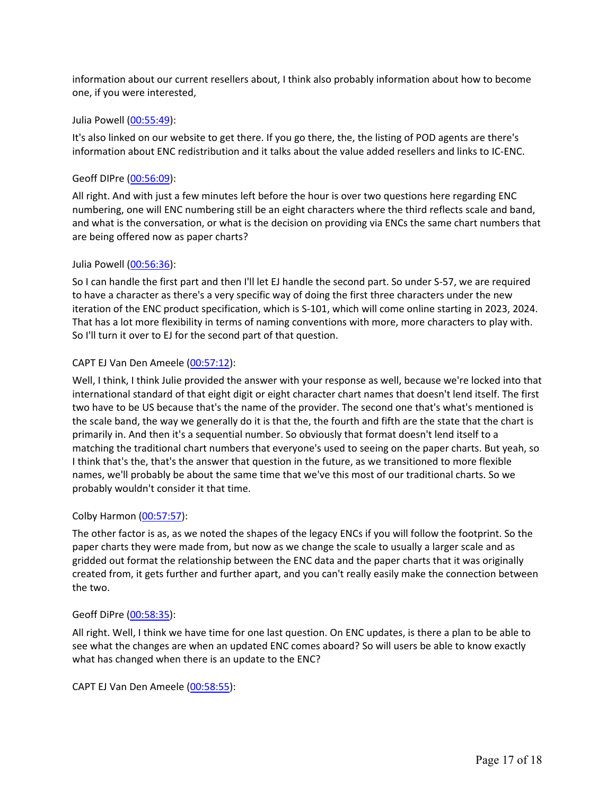information about our current resellers about, I think also probably information about how to become one, if you were interested,

#### Julia Powell (00:55:49):

It's also linked on our website to get there. If you go there, the, the listing of POD agents are there's information about ENC redistribution and it talks about the value added resellers and links to IC-ENC.

## Geoff DIPre (00:56:09):

All right. And with just a few minutes left before the hour is over two questions here regarding ENC numbering, one will ENC numbering still be an eight characters where the third reflects scale and band, and what is the conversation, or what is the decision on providing via ENCs the same chart numbers that are being offered now as paper charts?

### Julia Powell (00:56:36):

So I can handle the first part and then I'll let EJ handle the second part. So under S-57, we are required to have a character as there's a very specific way of doing the first three characters under the new iteration of the ENC product specification, which is S-101, which will come online starting in 2023, 2024. That has a lot more flexibility in terms of naming conventions with more, more characters to play with. So I'll turn it over to EJ for the second part of that question.

### CAPT EJ Van Den Ameele (00:57:12):

Well, I think, I think Julie provided the answer with your response as well, because we're locked into that international standard of that eight digit or eight character chart names that doesn't lend itself. The first two have to be US because that's the name of the provider. The second one that's what's mentioned is the scale band, the way we generally do it is that the, the fourth and fifth are the state that the chart is primarily in. And then it's a sequential number. So obviously that format doesn't lend itself to a matching the traditional chart numbers that everyone's used to seeing on the paper charts. But yeah, so I think that's the, that's the answer that question in the future, as we transitioned to more flexible names, we'll probably be about the same time that we've this most of our traditional charts. So we probably wouldn't consider it that time.

## Colby Harmon (00:57:57):

The other factor is as, as we noted the shapes of the legacy ENCs if you will follow the footprint. So the paper charts they were made from, but now as we change the scale to usually a larger scale and as gridded out format the relationship between the ENC data and the paper charts that it was originally created from, it gets further and further apart, and you can't really easily make the connection between the two.

## Geoff DiPre (00:58:35):

All right. Well, I think we have time for one last question. On ENC updates, is there a plan to be able to see what the changes are when an updated ENC comes aboard? So will users be able to know exactly what has changed when there is an update to the ENC?

CAPT EJ Van Den Ameele (00:58:55):